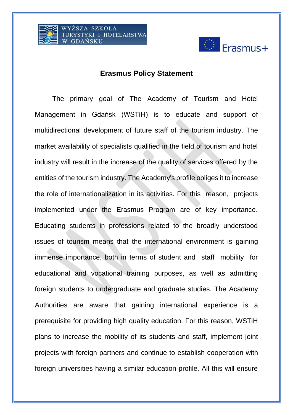



## **Erasmus Policy Statement**

The primary goal of The Academy of Tourism and Hotel Management in Gdańsk (WSTiH) is to educate and support of multidirectional development of future staff of the tourism industry. The market availability of specialists qualified in the field of tourism and hotel industry will result in the increase of the quality of services offered by the entities of the tourism industry. The Academy's profile obliges it to increase the role of internationalization in its activities. For this reason, projects implemented under the Erasmus Program are of key importance. Educating students in professions related to the broadly understood issues of tourism means that the international environment is gaining immense importance, both in terms of student and staff mobility for educational and vocational training purposes, as well as admitting foreign students to undergraduate and graduate studies. The Academy Authorities are aware that gaining international experience is a prerequisite for providing high quality education. For this reason, WSTiH plans to increase the mobility of its students and staff, implement joint projects with foreign partners and continue to establish cooperation with foreign universities having a similar education profile. All this will ensure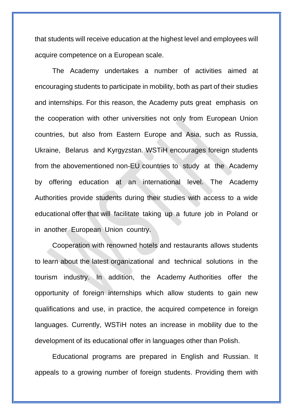that students will receive education at the highest level and employees will acquire competence on a European scale.

The Academy undertakes a number of activities aimed at encouraging students to participate in mobility, both as part of their studies and internships. For this reason, the Academy puts great emphasis on the cooperation with other universities not only from European Union countries, but also from Eastern Europe and Asia, such as Russia, Ukraine, Belarus and Kyrgyzstan. WSTiH encourages foreign students from the abovementioned non-EU countries to study at the Academy by offering education at an international level. The Academy Authorities provide students during their studies with access to a wide educational offer that will facilitate taking up a future job in Poland or in another European Union country.

Cooperation with renowned hotels and restaurants allows students to learn about the latest organizational and technical solutions in the tourism industry. In addition, the Academy Authorities offer the opportunity of foreign internships which allow students to gain new qualifications and use, in practice, the acquired competence in foreign languages. Currently, WSTiH notes an increase in mobility due to the development of its educational offer in languages other than Polish.

Educational programs are prepared in English and Russian. It appeals to a growing number of foreign students. Providing them with